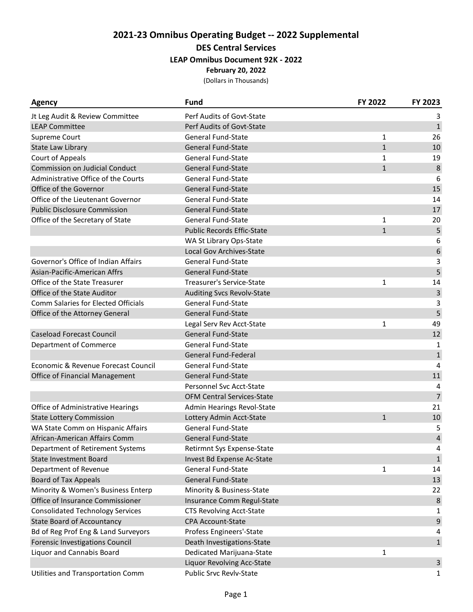# **2021-23 Omnibus Operating Budget -- 2022 Supplemental**

**DES Central Services**

### **LEAP Omnibus Document 92K - 2022**

**February 20, 2022**

(Dollars in Thousands)

| <b>Agency</b>                              | <b>Fund</b>                       | FY 2022      | FY 2023      |
|--------------------------------------------|-----------------------------------|--------------|--------------|
| Jt Leg Audit & Review Committee            | Perf Audits of Govt-State         |              | 3            |
| <b>LEAP Committee</b>                      | Perf Audits of Govt-State         |              | $\mathbf{1}$ |
| Supreme Court                              | <b>General Fund-State</b>         | 1            | 26           |
| State Law Library                          | <b>General Fund-State</b>         | $\mathbf{1}$ | 10           |
| Court of Appeals                           | General Fund-State                | 1            | 19           |
| <b>Commission on Judicial Conduct</b>      | <b>General Fund-State</b>         | $\mathbf{1}$ | 8            |
| Administrative Office of the Courts        | General Fund-State                |              | 6            |
| Office of the Governor                     | <b>General Fund-State</b>         |              | 15           |
| Office of the Lieutenant Governor          | <b>General Fund-State</b>         |              | 14           |
| <b>Public Disclosure Commission</b>        | <b>General Fund-State</b>         |              | 17           |
| Office of the Secretary of State           | General Fund-State                | 1            | 20           |
|                                            | <b>Public Records Effic-State</b> | $\mathbf{1}$ | 5            |
|                                            | WA St Library Ops-State           |              | 6            |
|                                            | Local Gov Archives-State          |              | 6            |
| Governor's Office of Indian Affairs        | General Fund-State                |              | 3            |
| Asian-Pacific-American Affrs               | <b>General Fund-State</b>         |              | 5            |
| Office of the State Treasurer              | <b>Treasurer's Service-State</b>  | 1            | 14           |
| Office of the State Auditor                | <b>Auditing Svcs Revolv-State</b> |              | 3            |
| <b>Comm Salaries for Elected Officials</b> | General Fund-State                |              | 3            |
| Office of the Attorney General             | <b>General Fund-State</b>         |              | 5            |
|                                            | Legal Serv Rev Acct-State         | $\mathbf{1}$ | 49           |
| <b>Caseload Forecast Council</b>           | <b>General Fund-State</b>         |              | 12           |
| Department of Commerce                     | <b>General Fund-State</b>         |              | 1            |
|                                            | General Fund-Federal              |              | $\mathbf 1$  |
| Economic & Revenue Forecast Council        | <b>General Fund-State</b>         |              | 4            |
| Office of Financial Management             | <b>General Fund-State</b>         |              | 11           |
|                                            | Personnel Svc Acct-State          |              | 4            |
|                                            | <b>OFM Central Services-State</b> |              | 7            |
| Office of Administrative Hearings          | Admin Hearings Revol-State        |              | 21           |
| <b>State Lottery Commission</b>            | Lottery Admin Acct-State          | $\mathbf{1}$ | 10           |
| WA State Comm on Hispanic Affairs          | <b>General Fund-State</b>         |              | 5            |
| African-American Affairs Comm              | <b>General Fund-State</b>         |              | 4            |
| Department of Retirement Systems           | Retirmnt Sys Expense-State        |              | 4            |
| <b>State Investment Board</b>              | Invest Bd Expense Ac-State        |              | $\mathbf{1}$ |
| Department of Revenue                      | <b>General Fund-State</b>         | 1            | 14           |
| <b>Board of Tax Appeals</b>                | <b>General Fund-State</b>         |              | 13           |
| Minority & Women's Business Enterp         | Minority & Business-State         |              | 22           |
| Office of Insurance Commissioner           | Insurance Comm Regul-State        |              | 8            |
| <b>Consolidated Technology Services</b>    | <b>CTS Revolving Acct-State</b>   |              | 1            |
| <b>State Board of Accountancy</b>          | <b>CPA Account-State</b>          |              | 9            |
| Bd of Reg Prof Eng & Land Surveyors        | Profess Engineers'-State          |              | 4            |
| <b>Forensic Investigations Council</b>     | Death Investigations-State        |              | $\mathbf{1}$ |
| Liquor and Cannabis Board                  | Dedicated Marijuana-State         | 1            |              |
|                                            | Liquor Revolving Acc-State        |              | 3            |
| Utilities and Transportation Comm          | Public Srvc Revlv-State           |              | $\mathbf{1}$ |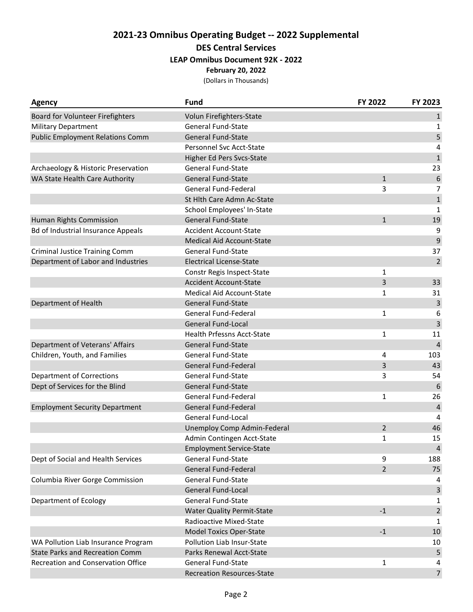# **2021-23 Omnibus Operating Budget -- 2022 Supplemental**

## **DES Central Services**

### **LEAP Omnibus Document 92K - 2022**

**February 20, 2022**

(Dollars in Thousands)

| <b>Agency</b>                             | Fund                              | FY 2022        | FY 2023        |
|-------------------------------------------|-----------------------------------|----------------|----------------|
| Board for Volunteer Firefighters          | Volun Firefighters-State          |                | $\mathbf{1}$   |
| <b>Military Department</b>                | <b>General Fund-State</b>         |                | 1              |
| <b>Public Employment Relations Comm</b>   | <b>General Fund-State</b>         |                | 5              |
|                                           | Personnel Svc Acct-State          |                | 4              |
|                                           | Higher Ed Pers Svcs-State         |                | $\mathbf 1$    |
| Archaeology & Historic Preservation       | <b>General Fund-State</b>         |                | 23             |
| WA State Health Care Authority            | <b>General Fund-State</b>         | $\mathbf{1}$   | 6              |
|                                           | General Fund-Federal              | 3              | $\overline{7}$ |
|                                           | St Hlth Care Admn Ac-State        |                | $\mathbf{1}$   |
|                                           | School Employees' In-State        |                | $\mathbf{1}$   |
| Human Rights Commission                   | General Fund-State                | $\mathbf{1}$   | 19             |
| <b>Bd of Industrial Insurance Appeals</b> | <b>Accident Account-State</b>     |                | 9              |
|                                           | <b>Medical Aid Account-State</b>  |                | 9              |
| <b>Criminal Justice Training Comm</b>     | <b>General Fund-State</b>         |                | 37             |
| Department of Labor and Industries        | <b>Electrical License-State</b>   |                | $\overline{2}$ |
|                                           | Constr Regis Inspect-State        | 1              |                |
|                                           | <b>Accident Account-State</b>     | 3              | 33             |
|                                           | <b>Medical Aid Account-State</b>  | 1              | 31             |
| Department of Health                      | <b>General Fund-State</b>         |                | 3              |
|                                           | General Fund-Federal              | 1              | 6              |
|                                           | <b>General Fund-Local</b>         |                | 3              |
|                                           | Health Prfessns Acct-State        | 1              | 11             |
| Department of Veterans' Affairs           | <b>General Fund-State</b>         |                | $\overline{4}$ |
| Children, Youth, and Families             | <b>General Fund-State</b>         | 4              | 103            |
|                                           | <b>General Fund-Federal</b>       | 3              | 43             |
| <b>Department of Corrections</b>          | <b>General Fund-State</b>         | 3              | 54             |
| Dept of Services for the Blind            | <b>General Fund-State</b>         |                | 6              |
|                                           | <b>General Fund-Federal</b>       | $\mathbf{1}$   | 26             |
| <b>Employment Security Department</b>     | <b>General Fund-Federal</b>       |                | $\overline{4}$ |
|                                           | General Fund-Local                |                | 4              |
|                                           | Unemploy Comp Admin-Federal       | $\overline{2}$ | 46             |
|                                           | Admin Contingen Acct-State        | $\mathbf{1}$   | 15             |
|                                           | <b>Employment Service-State</b>   |                | $\overline{4}$ |
| Dept of Social and Health Services        | General Fund-State                | 9              | 188            |
|                                           | <b>General Fund-Federal</b>       | $\overline{2}$ | 75             |
| Columbia River Gorge Commission           | General Fund-State                |                | 4              |
|                                           | General Fund-Local                |                | $\mathsf{3}$   |
| Department of Ecology                     | <b>General Fund-State</b>         |                | 1              |
|                                           | <b>Water Quality Permit-State</b> | $-1$           | $\overline{2}$ |
|                                           | Radioactive Mixed-State           |                | 1              |
|                                           | <b>Model Toxics Oper-State</b>    | $-1$           | 10             |
| WA Pollution Liab Insurance Program       | Pollution Liab Insur-State        |                | 10             |
| <b>State Parks and Recreation Comm</b>    | Parks Renewal Acct-State          |                | 5              |
| Recreation and Conservation Office        | <b>General Fund-State</b>         | 1              | 4              |
|                                           | <b>Recreation Resources-State</b> |                | $\overline{7}$ |